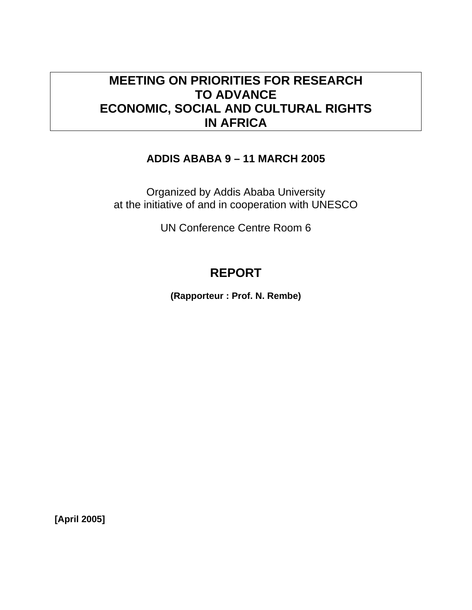## **MEETING ON PRIORITIES FOR RESEARCH TO ADVANCE ECONOMIC, SOCIAL AND CULTURAL RIGHTS IN AFRICA**

## **ADDIS ABABA 9 – 11 MARCH 2005**

Organized by Addis Ababa University at the initiative of and in cooperation with UNESCO

UN Conference Centre Room 6

# **REPORT**

**(Rapporteur : Prof. N. Rembe)** 

**[April 2005]**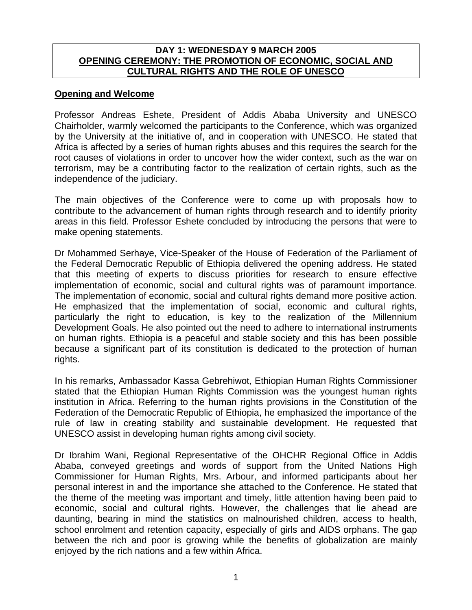#### **DAY 1: WEDNESDAY 9 MARCH 2005 OPENING CEREMONY: THE PROMOTION OF ECONOMIC, SOCIAL AND CULTURAL RIGHTS AND THE ROLE OF UNESCO**

#### **Opening and Welcome**

Professor Andreas Eshete, President of Addis Ababa University and UNESCO Chairholder, warmly welcomed the participants to the Conference, which was organized by the University at the initiative of, and in cooperation with UNESCO. He stated that Africa is affected by a series of human rights abuses and this requires the search for the root causes of violations in order to uncover how the wider context, such as the war on terrorism, may be a contributing factor to the realization of certain rights, such as the independence of the judiciary.

The main objectives of the Conference were to come up with proposals how to contribute to the advancement of human rights through research and to identify priority areas in this field. Professor Eshete concluded by introducing the persons that were to make opening statements.

Dr Mohammed Serhaye, Vice-Speaker of the House of Federation of the Parliament of the Federal Democratic Republic of Ethiopia delivered the opening address. He stated that this meeting of experts to discuss priorities for research to ensure effective implementation of economic, social and cultural rights was of paramount importance. The implementation of economic, social and cultural rights demand more positive action. He emphasized that the implementation of social, economic and cultural rights, particularly the right to education, is key to the realization of the Millennium Development Goals. He also pointed out the need to adhere to international instruments on human rights. Ethiopia is a peaceful and stable society and this has been possible because a significant part of its constitution is dedicated to the protection of human rights.

In his remarks, Ambassador Kassa Gebrehiwot, Ethiopian Human Rights Commissioner stated that the Ethiopian Human Rights Commission was the youngest human rights institution in Africa. Referring to the human rights provisions in the Constitution of the Federation of the Democratic Republic of Ethiopia, he emphasized the importance of the rule of law in creating stability and sustainable development. He requested that UNESCO assist in developing human rights among civil society.

Dr Ibrahim Wani, Regional Representative of the OHCHR Regional Office in Addis Ababa, conveyed greetings and words of support from the United Nations High Commissioner for Human Rights, Mrs. Arbour, and informed participants about her personal interest in and the importance she attached to the Conference. He stated that the theme of the meeting was important and timely, little attention having been paid to economic, social and cultural rights. However, the challenges that lie ahead are daunting, bearing in mind the statistics on malnourished children, access to health, school enrolment and retention capacity, especially of girls and AIDS orphans. The gap between the rich and poor is growing while the benefits of globalization are mainly enjoyed by the rich nations and a few within Africa.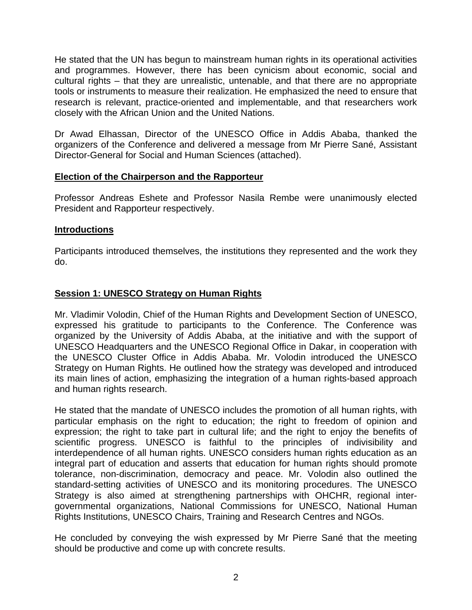He stated that the UN has begun to mainstream human rights in its operational activities and programmes. However, there has been cynicism about economic, social and cultural rights – that they are unrealistic, untenable, and that there are no appropriate tools or instruments to measure their realization. He emphasized the need to ensure that research is relevant, practice-oriented and implementable, and that researchers work closely with the African Union and the United Nations.

Dr Awad Elhassan, Director of the UNESCO Office in Addis Ababa, thanked the organizers of the Conference and delivered a message from Mr Pierre Sané, Assistant Director-General for Social and Human Sciences (attached).

#### **Election of the Chairperson and the Rapporteur**

Professor Andreas Eshete and Professor Nasila Rembe were unanimously elected President and Rapporteur respectively.

#### **Introductions**

Participants introduced themselves, the institutions they represented and the work they do.

## **Session 1: UNESCO Strategy on Human Rights**

Mr. Vladimir Volodin, Chief of the Human Rights and Development Section of UNESCO, expressed his gratitude to participants to the Conference. The Conference was organized by the University of Addis Ababa, at the initiative and with the support of UNESCO Headquarters and the UNESCO Regional Office in Dakar, in cooperation with the UNESCO Cluster Office in Addis Ababa. Mr. Volodin introduced the UNESCO Strategy on Human Rights. He outlined how the strategy was developed and introduced its main lines of action, emphasizing the integration of a human rights-based approach and human rights research.

He stated that the mandate of UNESCO includes the promotion of all human rights, with particular emphasis on the right to education; the right to freedom of opinion and expression; the right to take part in cultural life; and the right to enjoy the benefits of scientific progress. UNESCO is faithful to the principles of indivisibility and interdependence of all human rights. UNESCO considers human rights education as an integral part of education and asserts that education for human rights should promote tolerance, non-discrimination, democracy and peace. Mr. Volodin also outlined the standard-setting activities of UNESCO and its monitoring procedures. The UNESCO Strategy is also aimed at strengthening partnerships with OHCHR, regional intergovernmental organizations, National Commissions for UNESCO, National Human Rights Institutions, UNESCO Chairs, Training and Research Centres and NGOs.

He concluded by conveying the wish expressed by Mr Pierre Sané that the meeting should be productive and come up with concrete results.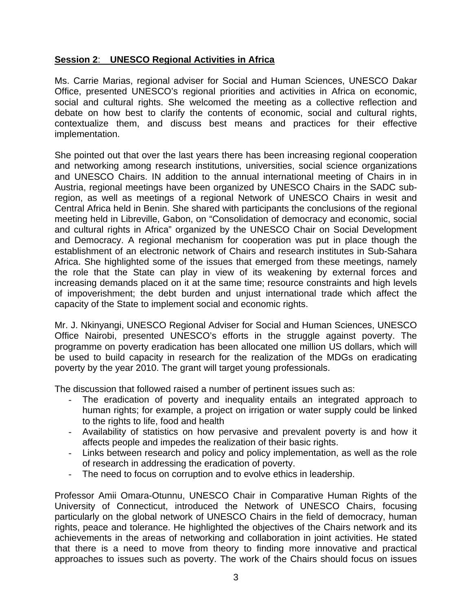#### **Session 2**: **UNESCO Regional Activities in Africa**

Ms. Carrie Marias, regional adviser for Social and Human Sciences, UNESCO Dakar Office, presented UNESCO's regional priorities and activities in Africa on economic, social and cultural rights. She welcomed the meeting as a collective reflection and debate on how best to clarify the contents of economic, social and cultural rights, contextualize them, and discuss best means and practices for their effective implementation.

She pointed out that over the last years there has been increasing regional cooperation and networking among research institutions, universities, social science organizations and UNESCO Chairs. IN addition to the annual international meeting of Chairs in in Austria, regional meetings have been organized by UNESCO Chairs in the SADC subregion, as well as meetings of a regional Network of UNESCO Chairs in wesit and Central Africa held in Benin. She shared with participants the conclusions of the regional meeting held in Libreville, Gabon, on "Consolidation of democracy and economic, social and cultural rights in Africa" organized by the UNESCO Chair on Social Development and Democracy. A regional mechanism for cooperation was put in place though the establishment of an electronic network of Chairs and research institutes in Sub-Sahara Africa. She highlighted some of the issues that emerged from these meetings, namely the role that the State can play in view of its weakening by external forces and increasing demands placed on it at the same time; resource constraints and high levels of impoverishment; the debt burden and unjust international trade which affect the capacity of the State to implement social and economic rights.

Mr. J. Nkinyangi, UNESCO Regional Adviser for Social and Human Sciences, UNESCO Office Nairobi, presented UNESCO's efforts in the struggle against poverty. The programme on poverty eradication has been allocated one million US dollars, which will be used to build capacity in research for the realization of the MDGs on eradicating poverty by the year 2010. The grant will target young professionals.

The discussion that followed raised a number of pertinent issues such as:

- The eradication of poverty and inequality entails an integrated approach to human rights; for example, a project on irrigation or water supply could be linked to the rights to life, food and health
- Availability of statistics on how pervasive and prevalent poverty is and how it affects people and impedes the realization of their basic rights.
- Links between research and policy and policy implementation, as well as the role of research in addressing the eradication of poverty.
- The need to focus on corruption and to evolve ethics in leadership.

Professor Amii Omara-Otunnu, UNESCO Chair in Comparative Human Rights of the University of Connecticut, introduced the Network of UNESCO Chairs, focusing particularly on the global network of UNESCO Chairs in the field of democracy, human rights, peace and tolerance. He highlighted the objectives of the Chairs network and its achievements in the areas of networking and collaboration in joint activities. He stated that there is a need to move from theory to finding more innovative and practical approaches to issues such as poverty. The work of the Chairs should focus on issues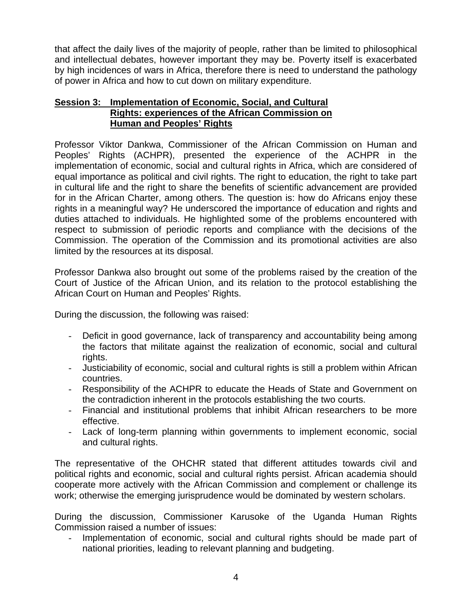that affect the daily lives of the majority of people, rather than be limited to philosophical and intellectual debates, however important they may be. Poverty itself is exacerbated by high incidences of wars in Africa, therefore there is need to understand the pathology of power in Africa and how to cut down on military expenditure.

#### **Session 3: Implementation of Economic, Social, and Cultural Rights: experiences of the African Commission on Human and Peoples' Rights**

Professor Viktor Dankwa, Commissioner of the African Commission on Human and Peoples' Rights (ACHPR), presented the experience of the ACHPR in the implementation of economic, social and cultural rights in Africa, which are considered of equal importance as political and civil rights. The right to education, the right to take part in cultural life and the right to share the benefits of scientific advancement are provided for in the African Charter, among others. The question is: how do Africans enjoy these rights in a meaningful way? He underscored the importance of education and rights and duties attached to individuals. He highlighted some of the problems encountered with respect to submission of periodic reports and compliance with the decisions of the Commission. The operation of the Commission and its promotional activities are also limited by the resources at its disposal.

Professor Dankwa also brought out some of the problems raised by the creation of the Court of Justice of the African Union, and its relation to the protocol establishing the African Court on Human and Peoples' Rights.

During the discussion, the following was raised:

- Deficit in good governance, lack of transparency and accountability being among the factors that militate against the realization of economic, social and cultural rights.
- Justiciability of economic, social and cultural rights is still a problem within African countries.
- Responsibility of the ACHPR to educate the Heads of State and Government on the contradiction inherent in the protocols establishing the two courts.
- Financial and institutional problems that inhibit African researchers to be more effective.
- Lack of long-term planning within governments to implement economic, social and cultural rights.

The representative of the OHCHR stated that different attitudes towards civil and political rights and economic, social and cultural rights persist. African academia should cooperate more actively with the African Commission and complement or challenge its work; otherwise the emerging jurisprudence would be dominated by western scholars.

During the discussion, Commissioner Karusoke of the Uganda Human Rights Commission raised a number of issues:

Implementation of economic, social and cultural rights should be made part of national priorities, leading to relevant planning and budgeting.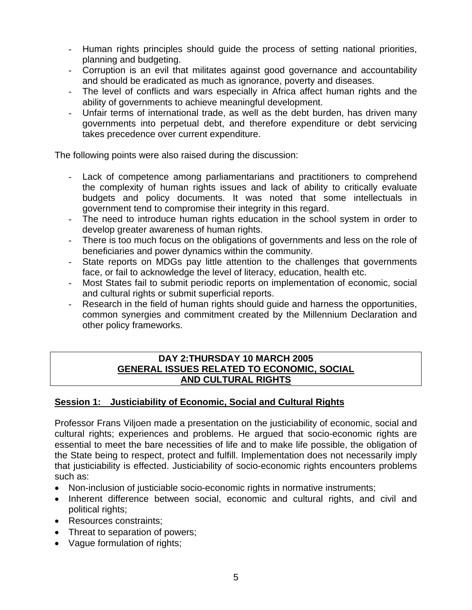- Human rights principles should guide the process of setting national priorities, planning and budgeting.
- Corruption is an evil that militates against good governance and accountability and should be eradicated as much as ignorance, poverty and diseases.
- The level of conflicts and wars especially in Africa affect human rights and the ability of governments to achieve meaningful development.
- Unfair terms of international trade, as well as the debt burden, has driven many governments into perpetual debt, and therefore expenditure or debt servicing takes precedence over current expenditure.

The following points were also raised during the discussion:

- Lack of competence among parliamentarians and practitioners to comprehend the complexity of human rights issues and lack of ability to critically evaluate budgets and policy documents. It was noted that some intellectuals in government tend to compromise their integrity in this regard.
- The need to introduce human rights education in the school system in order to develop greater awareness of human rights.
- There is too much focus on the obligations of governments and less on the role of beneficiaries and power dynamics within the community.
- State reports on MDGs pay little attention to the challenges that governments face, or fail to acknowledge the level of literacy, education, health etc.
- Most States fail to submit periodic reports on implementation of economic, social and cultural rights or submit superficial reports.
- Research in the field of human rights should guide and harness the opportunities, common synergies and commitment created by the Millennium Declaration and other policy frameworks.

#### **DAY 2:THURSDAY 10 MARCH 2005 GENERAL ISSUES RELATED TO ECONOMIC, SOCIAL AND CULTURAL RIGHTS**

## **Session 1: Justiciability of Economic, Social and Cultural Rights**

Professor Frans Viljoen made a presentation on the justiciability of economic, social and cultural rights; experiences and problems. He argued that socio-economic rights are essential to meet the bare necessities of life and to make life possible, the obligation of the State being to respect, protect and fulfill. Implementation does not necessarily imply that justiciability is effected. Justiciability of socio-economic rights encounters problems such as:

- Non-inclusion of justiciable socio-economic rights in normative instruments;
- Inherent difference between social, economic and cultural rights, and civil and political rights;
- Resources constraints;
- Threat to separation of powers;
- Vague formulation of rights;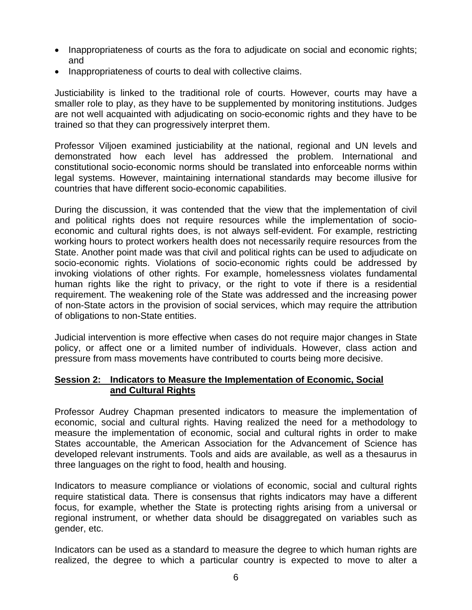- Inappropriateness of courts as the fora to adjudicate on social and economic rights; and
- Inappropriateness of courts to deal with collective claims.

Justiciability is linked to the traditional role of courts. However, courts may have a smaller role to play, as they have to be supplemented by monitoring institutions. Judges are not well acquainted with adjudicating on socio-economic rights and they have to be trained so that they can progressively interpret them.

Professor Viljoen examined justiciability at the national, regional and UN levels and demonstrated how each level has addressed the problem. International and constitutional socio-economic norms should be translated into enforceable norms within legal systems. However, maintaining international standards may become illusive for countries that have different socio-economic capabilities.

During the discussion, it was contended that the view that the implementation of civil and political rights does not require resources while the implementation of socioeconomic and cultural rights does, is not always self-evident. For example, restricting working hours to protect workers health does not necessarily require resources from the State. Another point made was that civil and political rights can be used to adjudicate on socio-economic rights. Violations of socio-economic rights could be addressed by invoking violations of other rights. For example, homelessness violates fundamental human rights like the right to privacy, or the right to vote if there is a residential requirement. The weakening role of the State was addressed and the increasing power of non-State actors in the provision of social services, which may require the attribution of obligations to non-State entities.

Judicial intervention is more effective when cases do not require major changes in State policy, or affect one or a limited number of individuals. However, class action and pressure from mass movements have contributed to courts being more decisive.

#### **Session 2: Indicators to Measure the Implementation of Economic, Social and Cultural Rights**

Professor Audrey Chapman presented indicators to measure the implementation of economic, social and cultural rights. Having realized the need for a methodology to measure the implementation of economic, social and cultural rights in order to make States accountable, the American Association for the Advancement of Science has developed relevant instruments. Tools and aids are available, as well as a thesaurus in three languages on the right to food, health and housing.

Indicators to measure compliance or violations of economic, social and cultural rights require statistical data. There is consensus that rights indicators may have a different focus, for example, whether the State is protecting rights arising from a universal or regional instrument, or whether data should be disaggregated on variables such as gender, etc.

Indicators can be used as a standard to measure the degree to which human rights are realized, the degree to which a particular country is expected to move to alter a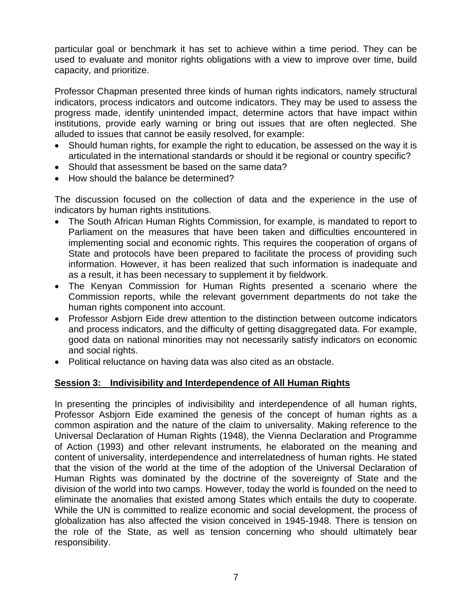particular goal or benchmark it has set to achieve within a time period. They can be used to evaluate and monitor rights obligations with a view to improve over time, build capacity, and prioritize.

Professor Chapman presented three kinds of human rights indicators, namely structural indicators, process indicators and outcome indicators. They may be used to assess the progress made, identify unintended impact, determine actors that have impact within institutions, provide early warning or bring out issues that are often neglected. She alluded to issues that cannot be easily resolved, for example:

- Should human rights, for example the right to education, be assessed on the way it is articulated in the international standards or should it be regional or country specific?
- Should that assessment be based on the same data?
- How should the balance be determined?

The discussion focused on the collection of data and the experience in the use of indicators by human rights institutions.

- The South African Human Rights Commission, for example, is mandated to report to Parliament on the measures that have been taken and difficulties encountered in implementing social and economic rights. This requires the cooperation of organs of State and protocols have been prepared to facilitate the process of providing such information. However, it has been realized that such information is inadequate and as a result, it has been necessary to supplement it by fieldwork.
- The Kenyan Commission for Human Rights presented a scenario where the Commission reports, while the relevant government departments do not take the human rights component into account.
- Professor Asbjorn Eide drew attention to the distinction between outcome indicators and process indicators, and the difficulty of getting disaggregated data. For example, good data on national minorities may not necessarily satisfy indicators on economic and social rights.
- Political reluctance on having data was also cited as an obstacle.

#### **Session 3: Indivisibility and Interdependence of All Human Rights**

In presenting the principles of indivisibility and interdependence of all human rights, Professor Asbjorn Eide examined the genesis of the concept of human rights as a common aspiration and the nature of the claim to universality. Making reference to the Universal Declaration of Human Rights (1948), the Vienna Declaration and Programme of Action (1993) and other relevant instruments, he elaborated on the meaning and content of universality, interdependence and interrelatedness of human rights. He stated that the vision of the world at the time of the adoption of the Universal Declaration of Human Rights was dominated by the doctrine of the sovereignty of State and the division of the world into two camps. However, today the world is founded on the need to eliminate the anomalies that existed among States which entails the duty to cooperate. While the UN is committed to realize economic and social development, the process of globalization has also affected the vision conceived in 1945-1948. There is tension on the role of the State, as well as tension concerning who should ultimately bear responsibility.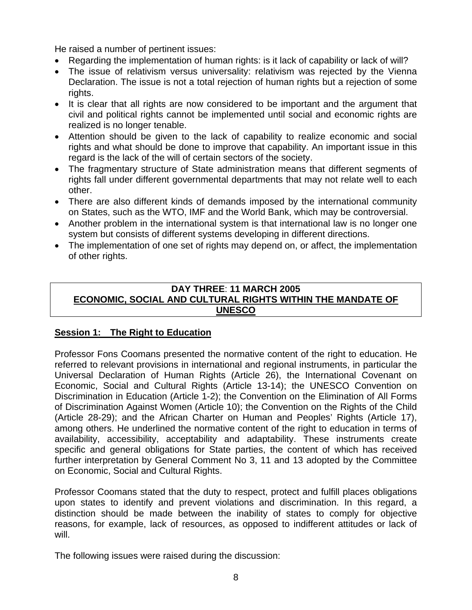He raised a number of pertinent issues:

- Regarding the implementation of human rights: is it lack of capability or lack of will?
- The issue of relativism versus universality: relativism was rejected by the Vienna Declaration. The issue is not a total rejection of human rights but a rejection of some rights.
- It is clear that all rights are now considered to be important and the argument that civil and political rights cannot be implemented until social and economic rights are realized is no longer tenable.
- Attention should be given to the lack of capability to realize economic and social rights and what should be done to improve that capability. An important issue in this regard is the lack of the will of certain sectors of the society.
- The fragmentary structure of State administration means that different segments of rights fall under different governmental departments that may not relate well to each other.
- There are also different kinds of demands imposed by the international community on States, such as the WTO, IMF and the World Bank, which may be controversial.
- Another problem in the international system is that international law is no longer one system but consists of different systems developing in different directions.
- The implementation of one set of rights may depend on, or affect, the implementation of other rights.

#### **DAY THREE**: **11 MARCH 2005 ECONOMIC, SOCIAL AND CULTURAL RIGHTS WITHIN THE MANDATE OF UNESCO**

### **Session 1: The Right to Education**

Professor Fons Coomans presented the normative content of the right to education. He referred to relevant provisions in international and regional instruments, in particular the Universal Declaration of Human Rights (Article 26), the International Covenant on Economic, Social and Cultural Rights (Article 13-14); the UNESCO Convention on Discrimination in Education (Article 1-2); the Convention on the Elimination of All Forms of Discrimination Against Women (Article 10); the Convention on the Rights of the Child (Article 28-29); and the African Charter on Human and Peoples' Rights (Article 17), among others. He underlined the normative content of the right to education in terms of availability, accessibility, acceptability and adaptability. These instruments create specific and general obligations for State parties, the content of which has received further interpretation by General Comment No 3, 11 and 13 adopted by the Committee on Economic, Social and Cultural Rights.

Professor Coomans stated that the duty to respect, protect and fulfill places obligations upon states to identify and prevent violations and discrimination. In this regard, a distinction should be made between the inability of states to comply for objective reasons, for example, lack of resources, as opposed to indifferent attitudes or lack of will.

The following issues were raised during the discussion: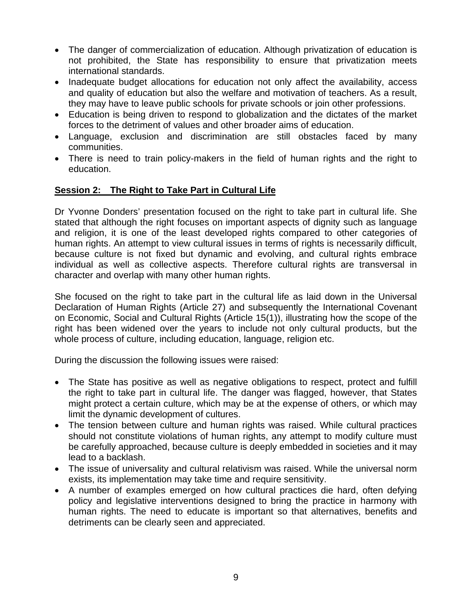- The danger of commercialization of education. Although privatization of education is not prohibited, the State has responsibility to ensure that privatization meets international standards.
- Inadequate budget allocations for education not only affect the availability, access and quality of education but also the welfare and motivation of teachers. As a result, they may have to leave public schools for private schools or join other professions.
- Education is being driven to respond to globalization and the dictates of the market forces to the detriment of values and other broader aims of education.
- Language, exclusion and discrimination are still obstacles faced by many communities.
- There is need to train policy-makers in the field of human rights and the right to education.

### **Session 2: The Right to Take Part in Cultural Life**

Dr Yvonne Donders' presentation focused on the right to take part in cultural life. She stated that although the right focuses on important aspects of dignity such as language and religion, it is one of the least developed rights compared to other categories of human rights. An attempt to view cultural issues in terms of rights is necessarily difficult, because culture is not fixed but dynamic and evolving, and cultural rights embrace individual as well as collective aspects. Therefore cultural rights are transversal in character and overlap with many other human rights.

She focused on the right to take part in the cultural life as laid down in the Universal Declaration of Human Rights (Article 27) and subsequently the International Covenant on Economic, Social and Cultural Rights (Article 15(1)), illustrating how the scope of the right has been widened over the years to include not only cultural products, but the whole process of culture, including education, language, religion etc.

During the discussion the following issues were raised:

- The State has positive as well as negative obligations to respect, protect and fulfill the right to take part in cultural life. The danger was flagged, however, that States might protect a certain culture, which may be at the expense of others, or which may limit the dynamic development of cultures.
- The tension between culture and human rights was raised. While cultural practices should not constitute violations of human rights, any attempt to modify culture must be carefully approached, because culture is deeply embedded in societies and it may lead to a backlash.
- The issue of universality and cultural relativism was raised. While the universal norm exists, its implementation may take time and require sensitivity.
- A number of examples emerged on how cultural practices die hard, often defying policy and legislative interventions designed to bring the practice in harmony with human rights. The need to educate is important so that alternatives, benefits and detriments can be clearly seen and appreciated.